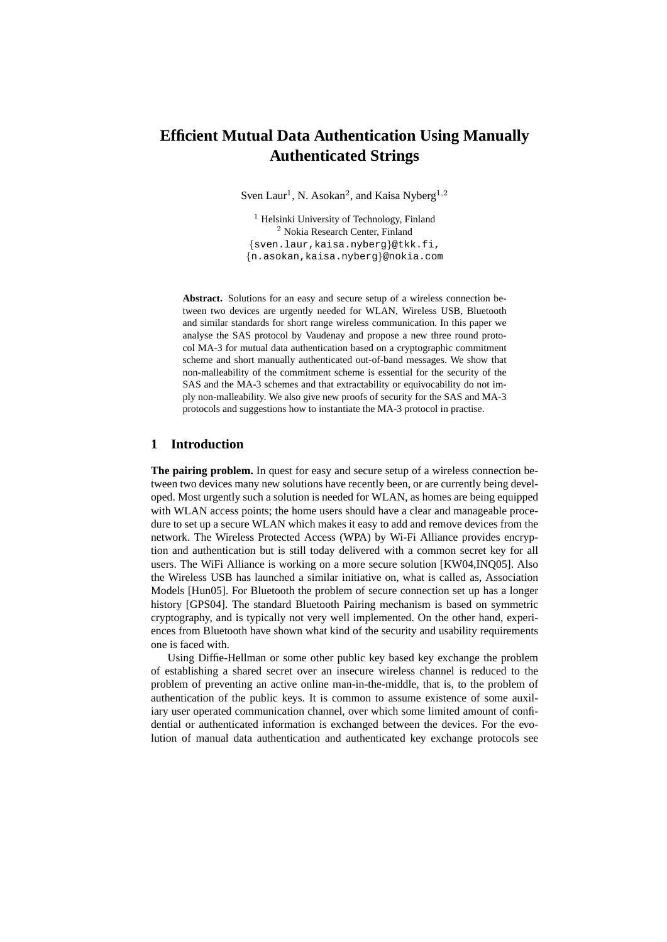# **Efficient Mutual Data Authentication Using Manually Authenticated Strings**

Sven Laur<sup>1</sup>, N. Asokan<sup>2</sup>, and Kaisa Nyberg<sup>1,2</sup>

 $<sup>1</sup>$  Helsinki University of Technology, Finland</sup> <sup>2</sup> Nokia Research Center, Finland {sven.laur,kaisa.nyberg}@tkk.fi, {n.asokan,kaisa.nyberg}@nokia.com

**Abstract.** Solutions for an easy and secure setup of a wireless connection between two devices are urgently needed for WLAN, Wireless USB, Bluetooth and similar standards for short range wireless communication. In this paper we analyse the SAS protocol by Vaudenay and propose a new three round protocol MA-3 for mutual data authentication based on a cryptographic commitment scheme and short manually authenticated out-of-band messages. We show that non-malleability of the commitment scheme is essential for the security of the SAS and the MA-3 schemes and that extractability or equivocability do not imply non-malleability. We also give new proofs of security for the SAS and MA-3 protocols and suggestions how to instantiate the MA-3 protocol in practise.

## **1 Introduction**

**The pairing problem.** In quest for easy and secure setup of a wireless connection between two devices many new solutions have recently been, or are currently being developed. Most urgently such a solution is needed for WLAN, as homes are being equipped with WLAN access points; the home users should have a clear and manageable procedure to set up a secure WLAN which makes it easy to add and remove devices from the network. The Wireless Protected Access (WPA) by Wi-Fi Alliance provides encryption and authentication but is still today delivered with a common secret key for all users. The WiFi Alliance is working on a more secure solution [KW04,INQ05]. Also the Wireless USB has launched a similar initiative on, what is called as, Association Models [Hun05]. For Bluetooth the problem of secure connection set up has a longer history [GPS04]. The standard Bluetooth Pairing mechanism is based on symmetric cryptography, and is typically not very well implemented. On the other hand, experiences from Bluetooth have shown what kind of the security and usability requirements one is faced with.

Using Diffie-Hellman or some other public key based key exchange the problem of establishing a shared secret over an insecure wireless channel is reduced to the problem of preventing an active online man-in-the-middle, that is, to the problem of authentication of the public keys. It is common to assume existence of some auxiliary user operated communication channel, over which some limited amount of confidential or authenticated information is exchanged between the devices. For the evolution of manual data authentication and authenticated key exchange protocols see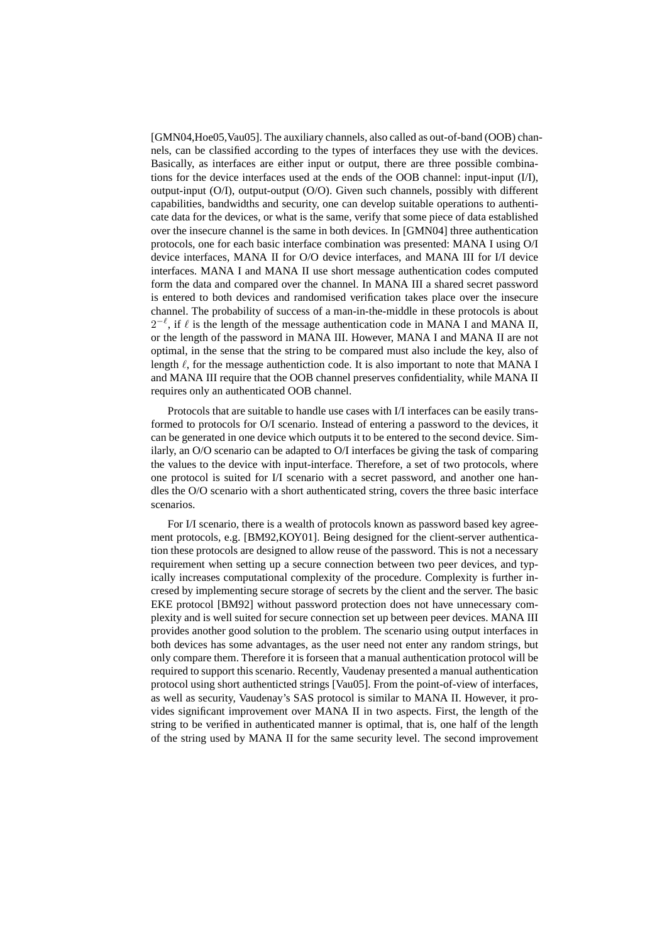[GMN04,Hoe05,Vau05]. The auxiliary channels, also called as out-of-band (OOB) channels, can be classified according to the types of interfaces they use with the devices. Basically, as interfaces are either input or output, there are three possible combinations for the device interfaces used at the ends of the OOB channel: input-input (I/I), output-input (O/I), output-output (O/O). Given such channels, possibly with different capabilities, bandwidths and security, one can develop suitable operations to authenticate data for the devices, or what is the same, verify that some piece of data established over the insecure channel is the same in both devices. In [GMN04] three authentication protocols, one for each basic interface combination was presented: MANA I using O/I device interfaces, MANA II for O/O device interfaces, and MANA III for I/I device interfaces. MANA I and MANA II use short message authentication codes computed form the data and compared over the channel. In MANA III a shared secret password is entered to both devices and randomised verification takes place over the insecure channel. The probability of success of a man-in-the-middle in these protocols is about  $2^{-\ell}$ , if  $\ell$  is the length of the message authentication code in MANA I and MANA II, or the length of the password in MANA III. However, MANA I and MANA II are not optimal, in the sense that the string to be compared must also include the key, also of length  $\ell$ , for the message authentiction code. It is also important to note that MANA I and MANA III require that the OOB channel preserves confidentiality, while MANA II requires only an authenticated OOB channel.

Protocols that are suitable to handle use cases with I/I interfaces can be easily transformed to protocols for O/I scenario. Instead of entering a password to the devices, it can be generated in one device which outputs it to be entered to the second device. Similarly, an O/O scenario can be adapted to O/I interfaces be giving the task of comparing the values to the device with input-interface. Therefore, a set of two protocols, where one protocol is suited for I/I scenario with a secret password, and another one handles the O/O scenario with a short authenticated string, covers the three basic interface scenarios.

For I/I scenario, there is a wealth of protocols known as password based key agreement protocols, e.g. [BM92,KOY01]. Being designed for the client-server authentication these protocols are designed to allow reuse of the password. This is not a necessary requirement when setting up a secure connection between two peer devices, and typically increases computational complexity of the procedure. Complexity is further incresed by implementing secure storage of secrets by the client and the server. The basic EKE protocol [BM92] without password protection does not have unnecessary complexity and is well suited for secure connection set up between peer devices. MANA III provides another good solution to the problem. The scenario using output interfaces in both devices has some advantages, as the user need not enter any random strings, but only compare them. Therefore it is forseen that a manual authentication protocol will be required to support this scenario. Recently, Vaudenay presented a manual authentication protocol using short authenticted strings [Vau05]. From the point-of-view of interfaces, as well as security, Vaudenay's SAS protocol is similar to MANA II. However, it provides significant improvement over MANA II in two aspects. First, the length of the string to be verified in authenticated manner is optimal, that is, one half of the length of the string used by MANA II for the same security level. The second improvement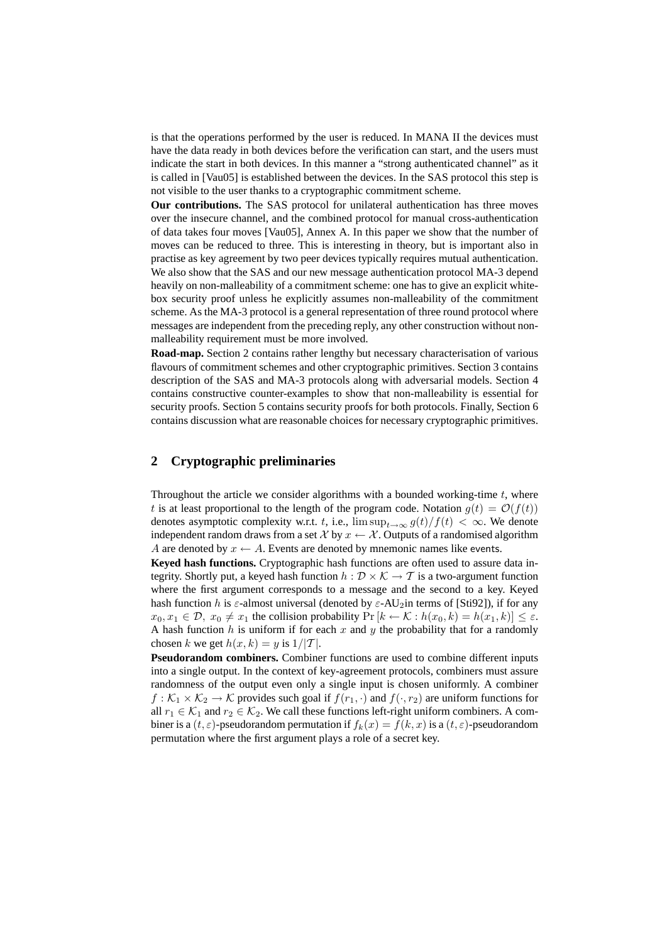is that the operations performed by the user is reduced. In MANA II the devices must have the data ready in both devices before the verification can start, and the users must indicate the start in both devices. In this manner a "strong authenticated channel" as it is called in [Vau05] is established between the devices. In the SAS protocol this step is not visible to the user thanks to a cryptographic commitment scheme.

**Our contributions.** The SAS protocol for unilateral authentication has three moves over the insecure channel, and the combined protocol for manual cross-authentication of data takes four moves [Vau05], Annex A. In this paper we show that the number of moves can be reduced to three. This is interesting in theory, but is important also in practise as key agreement by two peer devices typically requires mutual authentication. We also show that the SAS and our new message authentication protocol MA-3 depend heavily on non-malleability of a commitment scheme: one has to give an explicit whitebox security proof unless he explicitly assumes non-malleability of the commitment scheme. As the MA-3 protocol is a general representation of three round protocol where messages are independent from the preceding reply, any other construction without nonmalleability requirement must be more involved.

**Road-map.** Section 2 contains rather lengthy but necessary characterisation of various flavours of commitment schemes and other cryptographic primitives. Section 3 contains description of the SAS and MA-3 protocols along with adversarial models. Section 4 contains constructive counter-examples to show that non-malleability is essential for security proofs. Section 5 contains security proofs for both protocols. Finally, Section 6 contains discussion what are reasonable choices for necessary cryptographic primitives.

## **2 Cryptographic preliminaries**

Throughout the article we consider algorithms with a bounded working-time  $t$ , where t is at least proportional to the length of the program code. Notation  $q(t) = \mathcal{O}(f(t))$ denotes asymptotic complexity w.r.t. t, i.e.,  $\limsup_{t\to\infty} g(t)/f(t) < \infty$ . We denote independent random draws from a set  $\mathcal X$  by  $x \leftarrow \mathcal X$ . Outputs of a randomised algorithm A are denoted by  $x \leftarrow A$ . Events are denoted by mnemonic names like events.

**Keyed hash functions.** Cryptographic hash functions are often used to assure data integrity. Shortly put, a keyed hash function  $h : \mathcal{D} \times \mathcal{K} \to \mathcal{T}$  is a two-argument function where the first argument corresponds to a message and the second to a key. Keyed hash function h is  $\varepsilon$ -almost universal (denoted by  $\varepsilon$ -AU<sub>2</sub>in terms of [Sti92]), if for any  $x_0, x_1 \in \mathcal{D}, x_0 \neq x_1$  the collision probability  $\Pr[k \leftarrow \mathcal{K} : h(x_0, k) = h(x_1, k)] \leq \varepsilon$ . A hash function  $h$  is uniform if for each  $x$  and  $y$  the probability that for a randomly chosen k we get  $h(x, k) = y$  is  $1/|T|$ .

**Pseudorandom combiners.** Combiner functions are used to combine different inputs into a single output. In the context of key-agreement protocols, combiners must assure randomness of the output even only a single input is chosen uniformly. A combiner  $f: \mathcal{K}_1 \times \mathcal{K}_2 \to \mathcal{K}$  provides such goal if  $f(r_1, \cdot)$  and  $f(\cdot, r_2)$  are uniform functions for all  $r_1 \in \mathcal{K}_1$  and  $r_2 \in \mathcal{K}_2$ . We call these functions left-right uniform combiners. A combiner is a  $(t, \varepsilon)$ -pseudorandom permutation if  $f_k(x) = f(k, x)$  is a  $(t, \varepsilon)$ -pseudorandom permutation where the first argument plays a role of a secret key.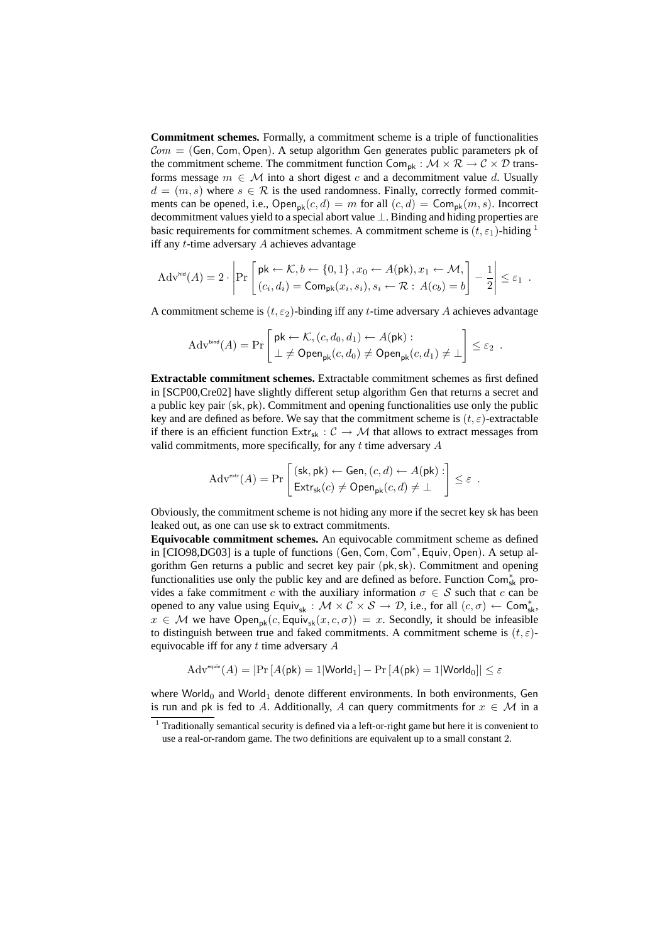**Commitment schemes.** Formally, a commitment scheme is a triple of functionalities  $Com = (Gen, Com, Open)$ . A setup algorithm Gen generates public parameters pk of the commitment scheme. The commitment function  $\mathsf{Com}_{\mathsf{pk}} : \mathcal{M} \times \mathcal{R} \to \mathcal{C} \times \mathcal{D}$  transforms message  $m \in \mathcal{M}$  into a short digest c and a decommitment value d. Usually  $d = (m, s)$  where  $s \in \mathcal{R}$  is the used randomness. Finally, correctly formed commitments can be opened, i.e.,  $\text{Open}_{\text{pk}}(c, d) = m$  for all  $(c, d) = \text{Comp}_{\text{pk}}(m, s)$ . Incorrect decommitment values yield to a special abort value ⊥. Binding and hiding properties are basic requirements for commitment schemes. A commitment scheme is  $(t, \varepsilon_1)$ -hiding <sup>1</sup> iff any t-time adversary A achieves advantage

$$
Advhid(A) = 2 \cdot \left| Pr \left[ pk \leftarrow K, b \leftarrow \{0, 1\}, x_0 \leftarrow A(pk), x_1 \leftarrow M, \right] \right] - \frac{1}{2} \right| \leq \varepsilon_1.
$$

A commitment scheme is  $(t, \varepsilon_2)$ -binding iff any t-time adversary A achieves advantage

$$
\mathrm{Adv}^{\mathsf{bind}}(A) = \Pr\left[\begin{matrix} \mathsf{pk} \leftarrow \mathcal{K}, (c, d_0, d_1) \leftarrow A(\mathsf{pk}): \\ \perp \neq \mathsf{Open}_{\mathsf{pk}}(c, d_0) \neq \mathsf{Open}_{\mathsf{pk}}(c, d_1) \neq \perp \end{matrix}\right] \leq \varepsilon_2.
$$

**Extractable commitment schemes.** Extractable commitment schemes as first defined in [SCP00,Cre02] have slightly different setup algorithm Gen that returns a secret and a public key pair (sk, pk). Commitment and opening functionalities use only the public key and are defined as before. We say that the commitment scheme is  $(t, \varepsilon)$ -extractable if there is an efficient function  $Ext_{sk}: \mathcal{C} \to \mathcal{M}$  that allows to extract messages from valid commitments, more specifically, for any  $t$  time adversary  $A$ 

$$
Adv^{\text{extr}}(A) = \Pr\left[\begin{matrix} (\mathsf{sk}, \mathsf{pk}) \leftarrow \mathsf{Gen}, (c, d) \leftarrow A(\mathsf{pk}) : \\ \mathsf{Extr}_{\mathsf{sk}}(c) \neq \mathsf{Open}_{\mathsf{pk}}(c, d) \neq \bot \end{matrix}\right] \leq \varepsilon.
$$

Obviously, the commitment scheme is not hiding any more if the secret key sk has been leaked out, as one can use sk to extract commitments.

**Equivocable commitment schemes.** An equivocable commitment scheme as defined in [CIO98,DG03] is a tuple of functions (Gen, Com, Com<sup>∗</sup> , Equiv, Open). A setup algorithm Gen returns a public and secret key pair (pk,sk). Commitment and opening functionalities use only the public key and are defined as before. Function  $\overrightarrow{Com}^*_{\leq k}$  provides a fake commitment c with the auxiliary information  $\sigma \in S$  such that c can be opened to any value using Equiv<sub>sk</sub> :  $M \times C \times S \to D$ , i.e., for all  $(c, \sigma) \leftarrow \text{Com}_{\text{sk}}^*$ ,  $x \in \mathcal{M}$  we have Open<sub>pk</sub> $(c, \text{Equiv}_{sk}(x, c, \sigma)) = x$ . Secondly, it should be infeasible to distinguish between true and faked commitments. A commitment scheme is  $(t, \varepsilon)$ equivocable iff for any  $t$  time adversary  $A$ 

$$
\mathrm{Adv}^{\mathrm{equiv}}(A) = \left|\Pr\left[A(\mathsf{pk}) = 1 | \mathsf{World}_1\right] - \Pr\left[A(\mathsf{pk}) = 1 | \mathsf{World}_0\right]\right| \leq \varepsilon
$$

where World<sub>0</sub> and World<sub>1</sub> denote different environments. In both environments, Gen is run and pk is fed to A. Additionally, A can query commitments for  $x \in \mathcal{M}$  in a

<sup>&</sup>lt;sup>1</sup> Traditionally semantical security is defined via a left-or-right game but here it is convenient to use a real-or-random game. The two definitions are equivalent up to a small constant 2.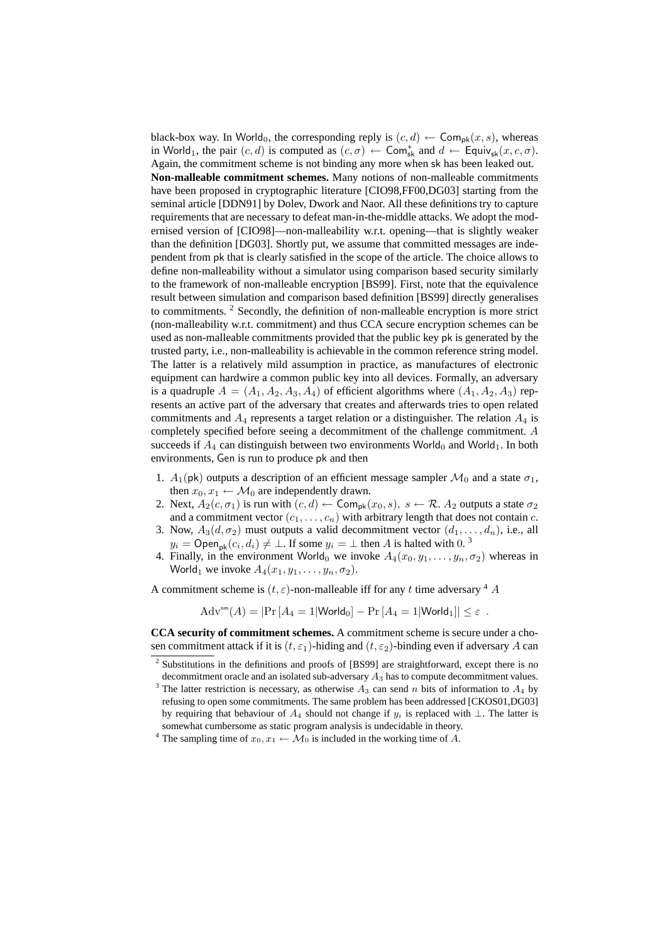black-box way. In World<sub>0</sub>, the corresponding reply is  $(c, d) \leftarrow \textsf{Com}_{\textsf{pk}}(x, s)$ , whereas in World<sub>1</sub>, the pair  $(c, d)$  is computed as  $(c, \sigma) \leftarrow \textsf{Com}^*_{\textsf{sk}}$  and  $d \leftarrow \textsf{Equiv}_{\textsf{sk}}(x, c, \sigma)$ . Again, the commitment scheme is not binding any more when sk has been leaked out. **Non-malleable commitment schemes.** Many notions of non-malleable commitments have been proposed in cryptographic literature [CIO98,FF00,DG03] starting from the seminal article [DDN91] by Dolev, Dwork and Naor. All these definitions try to capture requirements that are necessary to defeat man-in-the-middle attacks. We adopt the modernised version of [CIO98]—non-malleability w.r.t. opening—that is slightly weaker than the definition [DG03]. Shortly put, we assume that committed messages are independent from pk that is clearly satisfied in the scope of the article. The choice allows to define non-malleability without a simulator using comparison based security similarly to the framework of non-malleable encryption [BS99]. First, note that the equivalence result between simulation and comparison based definition [BS99] directly generalises to commitments. <sup>2</sup> Secondly, the definition of non-malleable encryption is more strict (non-malleability w.r.t. commitment) and thus CCA secure encryption schemes can be used as non-malleable commitments provided that the public key pk is generated by the trusted party, i.e., non-malleability is achievable in the common reference string model. The latter is a relatively mild assumption in practice, as manufactures of electronic equipment can hardwire a common public key into all devices. Formally, an adversary is a quadruple  $A = (A_1, A_2, A_3, A_4)$  of efficient algorithms where  $(A_1, A_2, A_3)$  represents an active part of the adversary that creates and afterwards tries to open related commitments and  $A_4$  represents a target relation or a distinguisher. The relation  $A_4$  is completely specified before seeing a decommitment of the challenge commitment. A succeeds if  $A_4$  can distinguish between two environments World<sub>0</sub> and World<sub>1</sub>. In both environments, Gen is run to produce pk and then

- 1.  $A_1(\mathsf{pk})$  outputs a description of an efficient message sampler  $\mathcal{M}_0$  and a state  $\sigma_1$ , then  $x_0, x_1 \leftarrow \mathcal{M}_0$  are independently drawn.
- 2. Next,  $A_2(c, \sigma_1)$  is run with  $(c, d) \leftarrow \textsf{Com}_{\textsf{pk}}(x_0, s), s \leftarrow \mathcal{R}$ .  $A_2$  outputs a state  $\sigma_2$ and a commitment vector  $(c_1, \ldots, c_n)$  with arbitrary length that does not contain c.
- 3. Now,  $A_3(d, \sigma_2)$  must outputs a valid decommitment vector  $(d_1, \ldots, d_n)$ , i.e., all  $y_i = \text{Open}_{\text{pk}}(c_i, d_i) \neq \bot$ . If some  $y_i = \bot$  then A is halted with 0. <sup>3</sup>
- 4. Finally, in the environment World<sub>0</sub> we invoke  $A_4(x_0, y_1, \ldots, y_n, \sigma_2)$  whereas in World<sub>1</sub> we invoke  $A_4(x_1, y_1, \ldots, y_n, \sigma_2)$ .

A commitment scheme is  $(t, \varepsilon)$ -non-malleable iff for any t time adversary <sup>4</sup> A

$$
Adv^{nm}(A) = |Pr[A_4 = 1|World_0] - Pr[A_4 = 1|World_1]| \le \varepsilon.
$$

**CCA security of commitment schemes.** A commitment scheme is secure under a chosen commitment attack if it is  $(t, \varepsilon_1)$ -hiding and  $(t, \varepsilon_2)$ -binding even if adversary A can

<sup>2</sup> Substitutions in the definitions and proofs of [BS99] are straightforward, except there is no decommitment oracle and an isolated sub-adversary  $A_3$  has to compute decommitment values.

<sup>&</sup>lt;sup>3</sup> The latter restriction is necessary, as otherwise  $A_3$  can send n bits of information to  $A_4$  by refusing to open some commitments. The same problem has been addressed [CKOS01,DG03] by requiring that behaviour of  $A_4$  should not change if  $y_i$  is replaced with ⊥. The latter is somewhat cumbersome as static program analysis is undecidable in theory.

<sup>&</sup>lt;sup>4</sup> The sampling time of  $x_0, x_1 \leftarrow \mathcal{M}_0$  is included in the working time of A.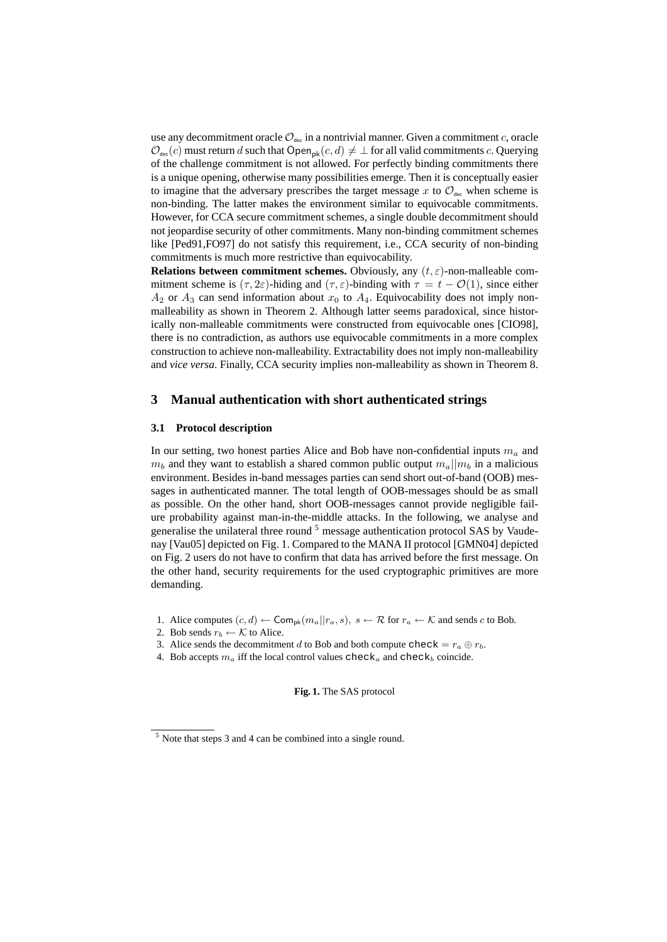use any decommitment oracle  $\mathcal{O}_{\text{dec}}$  in a nontrivial manner. Given a commitment c, oracle  $\mathcal{O}_{\text{dec}}(c)$  must return d such that  $\text{Open}_{\text{pk}}(c, d) \neq \perp$  for all valid commitments c. Querying of the challenge commitment is not allowed. For perfectly binding commitments there is a unique opening, otherwise many possibilities emerge. Then it is conceptually easier to imagine that the adversary prescribes the target message x to  $\mathcal{O}_{\text{dec}}$  when scheme is non-binding. The latter makes the environment similar to equivocable commitments. However, for CCA secure commitment schemes, a single double decommitment should not jeopardise security of other commitments. Many non-binding commitment schemes like [Ped91,FO97] do not satisfy this requirement, i.e., CCA security of non-binding commitments is much more restrictive than equivocability.

**Relations between commitment schemes.** Obviously, any  $(t, \varepsilon)$ -non-malleable commitment scheme is  $(\tau, 2\varepsilon)$ -hiding and  $(\tau, \varepsilon)$ -binding with  $\tau = t - \mathcal{O}(1)$ , since either  $A_2$  or  $A_3$  can send information about  $x_0$  to  $A_4$ . Equivocability does not imply nonmalleability as shown in Theorem 2. Although latter seems paradoxical, since historically non-malleable commitments were constructed from equivocable ones [CIO98], there is no contradiction, as authors use equivocable commitments in a more complex construction to achieve non-malleability. Extractability does not imply non-malleability and *vice versa*. Finally, CCA security implies non-malleability as shown in Theorem 8.

## **3 Manual authentication with short authenticated strings**

#### **3.1 Protocol description**

In our setting, two honest parties Alice and Bob have non-confidential inputs  $m_a$  and  $m_b$  and they want to establish a shared common public output  $m_a||m_b$  in a malicious environment. Besides in-band messages parties can send short out-of-band (OOB) messages in authenticated manner. The total length of OOB-messages should be as small as possible. On the other hand, short OOB-messages cannot provide negligible failure probability against man-in-the-middle attacks. In the following, we analyse and generalise the unilateral three round  $<sup>5</sup>$  message authentication protocol SAS by Vaude-</sup> nay [Vau05] depicted on Fig. 1. Compared to the MANA II protocol [GMN04] depicted on Fig. 2 users do not have to confirm that data has arrived before the first message. On the other hand, security requirements for the used cryptographic primitives are more demanding.

- 1. Alice computes  $(c, d) \leftarrow \textsf{Com}_{\textsf{pk}}(m_a || r_a, s), s \leftarrow \mathcal{R}$  for  $r_a \leftarrow \mathcal{K}$  and sends c to Bob.
- 2. Bob sends  $r_b \leftarrow K$  to Alice.
- 3. Alice sends the decommitment d to Bob and both compute check =  $r_a \oplus r_b$ .
- 4. Bob accepts  $m_a$  iff the local control values check<sub>a</sub> and check<sub>b</sub> coincide.

**Fig. 1.** The SAS protocol

 $<sup>5</sup>$  Note that steps 3 and 4 can be combined into a single round.</sup>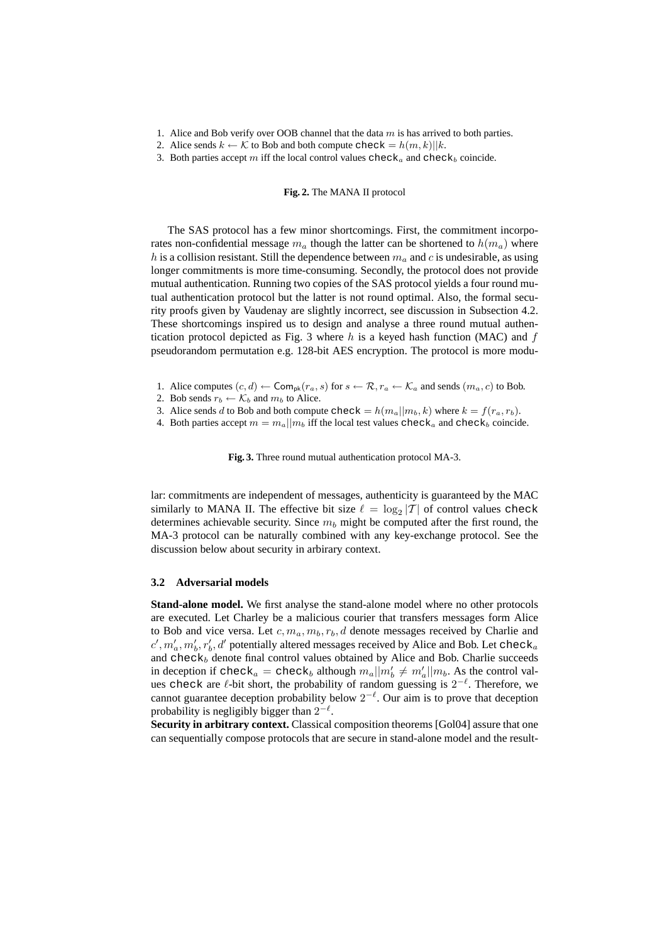- 1. Alice and Bob verify over OOB channel that the data  $m$  is has arrived to both parties.
- 2. Alice sends  $k \leftarrow \mathcal{K}$  to Bob and both compute check  $= h(m, k) || k$ .
- 3. Both parties accept m iff the local control values  $check_a$  and  $check_b$  coincide.

#### **Fig. 2.** The MANA II protocol

The SAS protocol has a few minor shortcomings. First, the commitment incorporates non-confidential message  $m_a$  though the latter can be shortened to  $h(m_a)$  where h is a collision resistant. Still the dependence between  $m_a$  and c is undesirable, as using longer commitments is more time-consuming. Secondly, the protocol does not provide mutual authentication. Running two copies of the SAS protocol yields a four round mutual authentication protocol but the latter is not round optimal. Also, the formal security proofs given by Vaudenay are slightly incorrect, see discussion in Subsection 4.2. These shortcomings inspired us to design and analyse a three round mutual authentication protocol depicted as Fig. 3 where  $h$  is a keyed hash function (MAC) and  $f$ pseudorandom permutation e.g. 128-bit AES encryption. The protocol is more modu-

- 1. Alice computes  $(c, d) \leftarrow \textsf{Com}_{\textsf{pk}}(r_a, s)$  for  $s \leftarrow \mathcal{R}, r_a \leftarrow \mathcal{K}_a$  and sends  $(m_a, c)$  to Bob.
- 2. Bob sends  $r_b \leftarrow \mathcal{K}_b$  and  $m_b$  to Alice.
- 3. Alice sends d to Bob and both compute check  $= h(m_a||m_b, k)$  where  $k = f(r_a, r_b)$ .
- 4. Both parties accept  $m = m_a || m_b$  iff the local test values check<sub>a</sub> and check<sub>b</sub> coincide.

**Fig. 3.** Three round mutual authentication protocol MA-3.

lar: commitments are independent of messages, authenticity is guaranteed by the MAC similarly to MANA II. The effective bit size  $\ell = \log_2 |T|$  of control values check determines achievable security. Since  $m_b$  might be computed after the first round, the MA-3 protocol can be naturally combined with any key-exchange protocol. See the discussion below about security in arbirary context.

#### **3.2 Adversarial models**

**Stand-alone model.** We first analyse the stand-alone model where no other protocols are executed. Let Charley be a malicious courier that transfers messages form Alice to Bob and vice versa. Let  $c, m_a, m_b, r_b, d$  denote messages received by Charlie and  $c', m'_a, m'_b, r'_b, d'$  potentially altered messages received by Alice and Bob. Let check<sub>a</sub> and  $check_b$  denote final control values obtained by Alice and Bob. Charlie succeeds in deception if check<sub>a</sub> = check<sub>b</sub> although  $m_a||m'_b \neq m'_a||m_b$ . As the control values check are  $\ell$ -bit short, the probability of random guessing is  $2^{-\ell}$ . Therefore, we cannot guarantee deception probability below  $2^{-\ell}$ . Our aim is to prove that deception probability is negligibly bigger than  $2^{-\ell}$ .

**Security in arbitrary context.** Classical composition theorems [Gol04] assure that one can sequentially compose protocols that are secure in stand-alone model and the result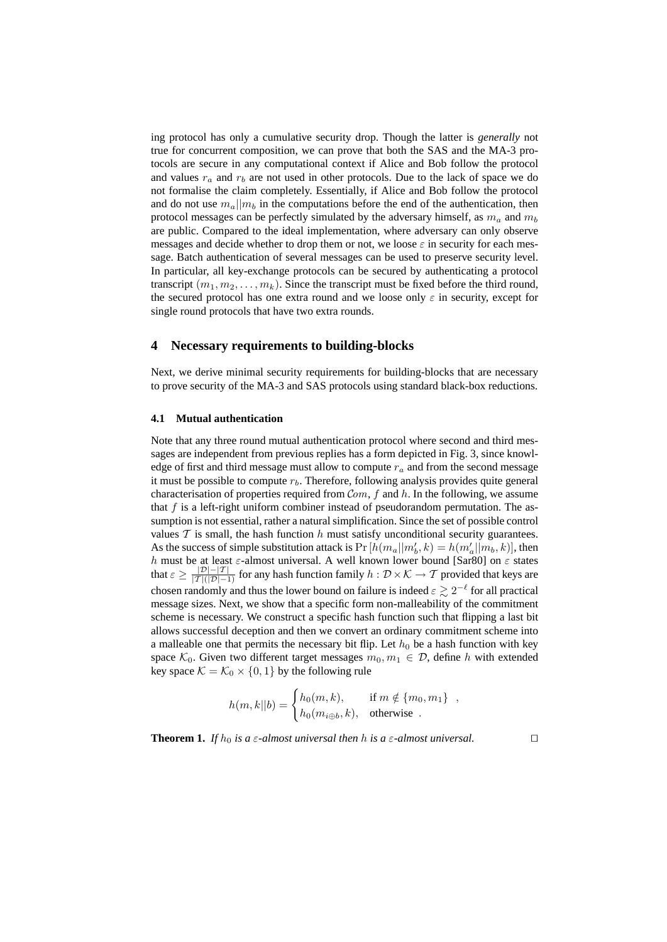ing protocol has only a cumulative security drop. Though the latter is *generally* not true for concurrent composition, we can prove that both the SAS and the MA-3 protocols are secure in any computational context if Alice and Bob follow the protocol and values  $r_a$  and  $r_b$  are not used in other protocols. Due to the lack of space we do not formalise the claim completely. Essentially, if Alice and Bob follow the protocol and do not use  $m_a||m_b$  in the computations before the end of the authentication, then protocol messages can be perfectly simulated by the adversary himself, as  $m_a$  and  $m_b$ are public. Compared to the ideal implementation, where adversary can only observe messages and decide whether to drop them or not, we loose  $\varepsilon$  in security for each message. Batch authentication of several messages can be used to preserve security level. In particular, all key-exchange protocols can be secured by authenticating a protocol transcript  $(m_1, m_2, \ldots, m_k)$ . Since the transcript must be fixed before the third round, the secured protocol has one extra round and we loose only  $\varepsilon$  in security, except for single round protocols that have two extra rounds.

#### **4 Necessary requirements to building-blocks**

Next, we derive minimal security requirements for building-blocks that are necessary to prove security of the MA-3 and SAS protocols using standard black-box reductions.

#### **4.1 Mutual authentication**

Note that any three round mutual authentication protocol where second and third messages are independent from previous replies has a form depicted in Fig. 3, since knowledge of first and third message must allow to compute  $r_a$  and from the second message it must be possible to compute  $r<sub>b</sub>$ . Therefore, following analysis provides quite general characterisation of properties required from  $Com, f$  and h. In the following, we assume that  $f$  is a left-right uniform combiner instead of pseudorandom permutation. The assumption is not essential, rather a natural simplification. Since the set of possible control values  $T$  is small, the hash function  $h$  must satisfy unconditional security guarantees. As the success of simple substitution attack is  $Pr[h(m_a||m'_b, k) = h(m'_a||m_b, k)]$ , then h must be at least  $\varepsilon$ -almost universal. A well known lower bound [Sar80] on  $\varepsilon$  states that  $\varepsilon \geq \frac{|\mathcal{D}| - |\mathcal{T}|}{|\mathcal{T}|(|\mathcal{D}| - 1)}$  for any hash function family  $h : \mathcal{D} \times \mathcal{K} \to \mathcal{T}$  provided that keys are chosen randomly and thus the lower bound on failure is indeed  $\varepsilon \gtrsim 2^{-\ell}$  for all practical message sizes. Next, we show that a specific form non-malleability of the commitment scheme is necessary. We construct a specific hash function such that flipping a last bit allows successful deception and then we convert an ordinary commitment scheme into a malleable one that permits the necessary bit flip. Let  $h_0$  be a hash function with key space  $\mathcal{K}_0$ . Given two different target messages  $m_0, m_1 \in \mathcal{D}$ , define h with extended key space  $\mathcal{K} = \mathcal{K}_0 \times \{0, 1\}$  by the following rule

$$
h(m,k||b) = \begin{cases} h_0(m,k), & \text{if } m \notin \{m_0, m_1\} \\ h_0(m_{i \oplus b}, k), & \text{otherwise} \end{cases}
$$

**Theorem 1.** *If*  $h_0$  *is a*  $\varepsilon$ *-almost universal then h is a*  $\varepsilon$ *-almost universal.*  $\square$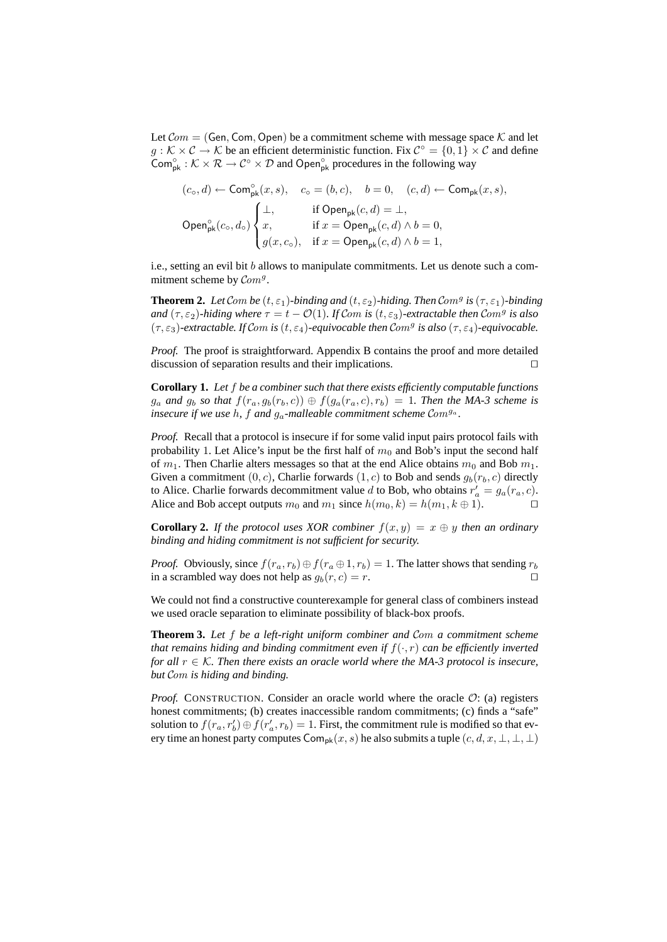Let  $Com = (Gen, Com, Open)$  be a commitment scheme with message space K and let  $g: K \times C \to K$  be an efficient deterministic function. Fix  $C^{\circ} = \{0, 1\} \times C$  and define  $\text{Com}_{\text{pk}}^{\circ}: \mathcal{K} \times \mathcal{R} \to \mathcal{C}^{\circ} \times \mathcal{D}$  and Open<sub>pk</sub> procedures in the following way

$$
(c_{\mathsf{o}}, d) \leftarrow \mathsf{Com}^{\mathsf{o}}_{\mathsf{pk}}(x, s), \quad c_{\mathsf{o}} = (b, c), \quad b = 0, \quad (c, d) \leftarrow \mathsf{Com}_{\mathsf{pk}}(x, s),
$$
\n
$$
\mathsf{Open}^{\mathsf{o}}_{\mathsf{pk}}(c_{\mathsf{o}}, d_{\mathsf{o}}) \begin{cases} \bot, & \text{if } \mathsf{Open}_{\mathsf{pk}}(c, d) = \bot, \\ x, & \text{if } x = \mathsf{Open}_{\mathsf{pk}}(c, d) \land b = 0, \\ g(x, c_{\mathsf{o}}), & \text{if } x = \mathsf{Open}_{\mathsf{pk}}(c, d) \land b = 1, \end{cases}
$$

i.e., setting an evil bit  $b$  allows to manipulate commitments. Let us denote such a commitment scheme by  $Com<sup>g</sup>$ .

**Theorem 2.** Let Com be  $(t, \varepsilon_1)$ -binding and  $(t, \varepsilon_2)$ -hiding. Then Com<sup>g</sup> is  $(\tau, \varepsilon_1)$ -binding *and*  $(\tau, \varepsilon_2)$ -hiding where  $\tau = t - \mathcal{O}(1)$ . If Com is  $(t, \varepsilon_3)$ -extractable then Com<sup>g</sup> is also  $(\tau, \varepsilon_3)$ -extractable. If Com is  $(t, \varepsilon_4)$ -equivocable then Com<sup>g</sup> is also  $(\tau, \varepsilon_4)$ -equivocable.

*Proof.* The proof is straightforward. Appendix B contains the proof and more detailed discussion of separation results and their implications.  $\Box$ 

**Corollary 1.** *Let* f *be a combiner such that there exists efficiently computable functions*  $g_a$  and  $g_b$  so that  $f(r_a, g_b(r_b, c)) \oplus f(g_a(r_a, c), r_b) = 1$ . Then the MA-3 scheme is *insecure if we use*  $h$ ,  $f$  *and*  $g_a$ -malleable commitment scheme  $Com^{g_a}$ .

*Proof.* Recall that a protocol is insecure if for some valid input pairs protocol fails with probability 1. Let Alice's input be the first half of  $m_0$  and Bob's input the second half of  $m_1$ . Then Charlie alters messages so that at the end Alice obtains  $m_0$  and Bob  $m_1$ . Given a commitment  $(0, c)$ , Charlie forwards  $(1, c)$  to Bob and sends  $g_b(r_b, c)$  directly to Alice. Charlie forwards decommitment value d to Bob, who obtains  $r'_a = g_a(r_a, c)$ . Alice and Bob accept outputs  $m_0$  and  $m_1$  since  $h(m_0, k) = h(m_1, k \oplus 1)$ .

**Corollary 2.** *If the protocol uses XOR combiner*  $f(x, y) = x \oplus y$  *then an ordinary binding and hiding commitment is not sufficient for security.*

*Proof.* Obviously, since  $f(r_a, r_b) \oplus f(r_a \oplus 1, r_b) = 1$ . The latter shows that sending  $r_b$ in a scrambled way does not help as  $g_b(r, c) = r$ .

We could not find a constructive counterexample for general class of combiners instead we used oracle separation to eliminate possibility of black-box proofs.

**Theorem 3.** *Let* f *be a left-right uniform combiner and* Com *a commitment scheme that remains hiding and binding commitment even if*  $f(\cdot, r)$  *can be efficiently inverted for all*  $r \in K$ *. Then there exists an oracle world where the MA-3 protocol is insecure, but* Com *is hiding and binding.*

*Proof.* CONSTRUCTION. Consider an oracle world where the oracle  $\mathcal{O}$ : (a) registers honest commitments; (b) creates inaccessible random commitments; (c) finds a "safe" solution to  $f(r_a, r'_b) \oplus f(r'_a, r_b) = 1$ . First, the commitment rule is modified so that every time an honest party computes  $\textsf{Com}_{\textsf{pk}}(x, s)$  he also submits a tuple  $(c, d, x, \bot, \bot, \bot)$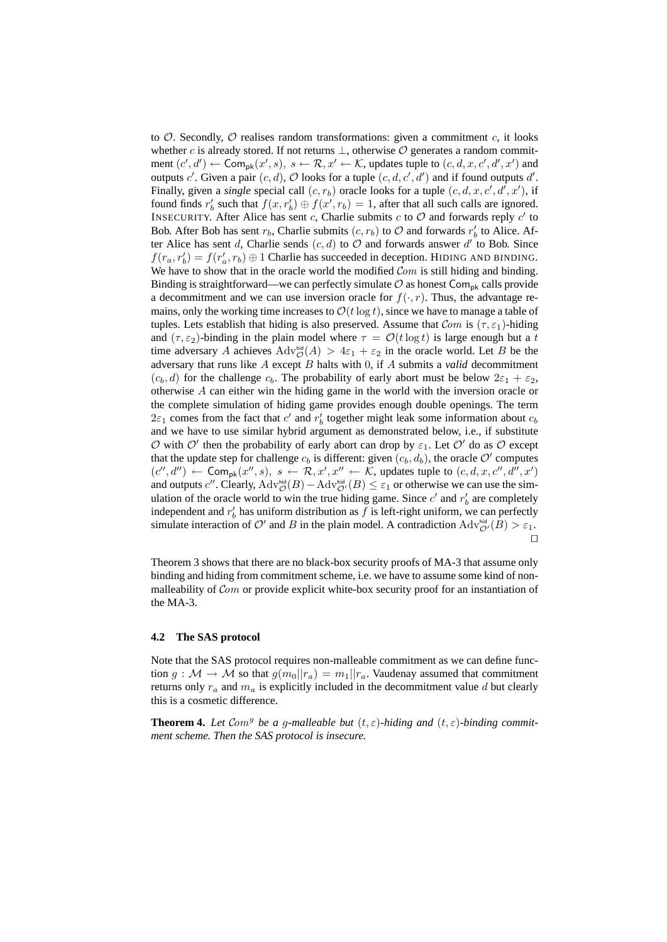to  $\mathcal{O}$ . Secondly,  $\mathcal{O}$  realises random transformations: given a commitment c, it looks whether c is already stored. If not returns  $\perp$ , otherwise  $\mathcal O$  generates a random commitment  $(c', d') \leftarrow \textsf{Comp}_\textsf{pk}(x', s), s \leftarrow \mathcal{R}, x' \leftarrow \mathcal{K}$ , updates tuple to  $(c, d, x, c', d', x')$  and outputs c'. Given a pair  $(c, d)$ ,  $\mathcal O$  looks for a tuple  $(c, d, c', d')$  and if found outputs d'. Finally, given a *single* special call  $(c, r_b)$  oracle looks for a tuple  $(c, d, x, c', d', x')$ , if found finds  $r'_b$  such that  $f(x, r'_b) \oplus f(x', r_b) = 1$ , after that all such calls are ignored. INSECURITY. After Alice has sent c, Charlie submits c to  $\mathcal O$  and forwards reply c' to Bob. After Bob has sent  $r_b$ , Charlie submits  $(c, r_b)$  to  $\mathcal O$  and forwards  $r'_b$  to Alice. After Alice has sent d, Charlie sends  $(c, d)$  to  $\overline{O}$  and forwards answer d' to Bob. Since  $f(r_a, r'_b) = f(r'_a, r_b) \oplus 1$  Charlie has succeeded in deception. HIDING AND BINDING. We have to show that in the oracle world the modified  $Com$  is still hiding and binding. Binding is straightforward—we can perfectly simulate  $\mathcal O$  as honest Com<sub>pk</sub> calls provide a decommitment and we can use inversion oracle for  $f(\cdot, r)$ . Thus, the advantage remains, only the working time increases to  $\mathcal{O}(t \log t)$ , since we have to manage a table of tuples. Lets establish that hiding is also preserved. Assume that  $Com$  is  $(\tau, \varepsilon_1)$ -hiding and  $(\tau, \varepsilon_2)$ -binding in the plain model where  $\tau = \mathcal{O}(t \log t)$  is large enough but a t time adversary A achieves  $\text{Adv}_{\mathcal{O}}^{\text{hid}}(A) > 4\varepsilon_1 + \varepsilon_2$  in the oracle world. Let B be the adversary that runs like A except B halts with 0, if A submits a *valid* decommitment  $(c_b, d)$  for the challenge  $c_b$ . The probability of early abort must be below  $2\varepsilon_1 + \varepsilon_2$ , otherwise A can either win the hiding game in the world with the inversion oracle or the complete simulation of hiding game provides enough double openings. The term  $2\varepsilon_1$  comes from the fact that c' and  $r'_b$  together might leak some information about  $c_b$ and we have to use similar hybrid argument as demonstrated below, i.e., if substitute  $\mathcal O$  with  $\mathcal O'$  then the probability of early abort can drop by  $\varepsilon_1$ . Let  $\mathcal O'$  do as  $\mathcal O$  except that the update step for challenge  $c_b$  is different: given  $(c_b, d_b)$ , the oracle O' computes  $(c'', d'') \leftarrow \textsf{Com}_{\textsf{pk}}(x'', s), s \leftarrow \mathcal{R}, x', x'' \leftarrow \mathcal{K}$ , updates tuple to  $(c, d, x, c'', d'', x')$ and outputs c''. Clearly,  $\text{Adv}_{\mathcal{O}}^{\text{hid}}(B) - \text{Adv}_{\mathcal{O}'}^{\text{hid}}(B) \leq \varepsilon_1$  or otherwise we can use the simulation of the oracle world to win the true hiding game. Since  $c'$  and  $r'_b$  are completely independent and  $r'_b$  has uniform distribution as f is left-right uniform, we can perfectly simulate interaction of O' and B in the plain model. A contradiction  $\text{Adv}_{\mathcal{O}}^{\text{hid}}(\hat{B}) > \varepsilon_1$ .  $\Box$ 

Theorem 3 shows that there are no black-box security proofs of MA-3 that assume only binding and hiding from commitment scheme, i.e. we have to assume some kind of nonmalleability of *Com* or provide explicit white-box security proof for an instantiation of the MA-3.

#### **4.2 The SAS protocol**

Note that the SAS protocol requires non-malleable commitment as we can define function  $g : \mathcal{M} \to \mathcal{M}$  so that  $g(m_0||r_a) = m_1||r_a$ . Vaudenay assumed that commitment returns only  $r_a$  and  $m_a$  is explicitly included in the decommitment value d but clearly this is a cosmetic difference.

**Theorem 4.** Let Com<sup>g</sup> be a g-malleable but  $(t, \varepsilon)$ -hiding and  $(t, \varepsilon)$ -binding commit*ment scheme. Then the SAS protocol is insecure.*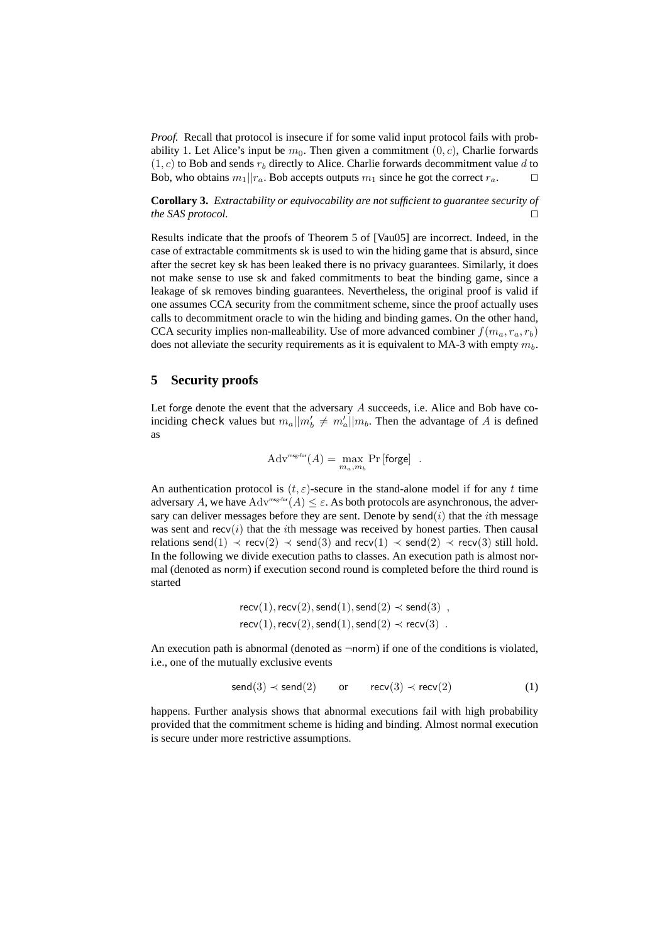*Proof.* Recall that protocol is insecure if for some valid input protocol fails with probability 1. Let Alice's input be  $m_0$ . Then given a commitment  $(0, c)$ , Charlie forwards  $(1, c)$  to Bob and sends  $r_b$  directly to Alice. Charlie forwards decommitment value d to Bob, who obtains  $m_1||r_a$ . Bob accepts outputs  $m_1$  since he got the correct  $r_a$ .

**Corollary 3.** *Extractability or equivocability are not sufficient to guarantee security of the SAS protocol.*  $\square$ 

Results indicate that the proofs of Theorem 5 of [Vau05] are incorrect. Indeed, in the case of extractable commitments sk is used to win the hiding game that is absurd, since after the secret key sk has been leaked there is no privacy guarantees. Similarly, it does not make sense to use sk and faked commitments to beat the binding game, since a leakage of sk removes binding guarantees. Nevertheless, the original proof is valid if one assumes CCA security from the commitment scheme, since the proof actually uses calls to decommitment oracle to win the hiding and binding games. On the other hand, CCA security implies non-malleability. Use of more advanced combiner  $f(m_a, r_a, r_b)$ does not alleviate the security requirements as it is equivalent to MA-3 with empty  $m_b$ .

## **5 Security proofs**

Let forge denote the event that the adversary  $A$  succeeds, i.e. Alice and Bob have coinciding check values but  $m_a||m'_b \neq m'_a||m_b$ . Then the advantage of A is defined as

$$
\mathrm{Adv}^{\text{msg-for}}(A) = \max_{m_a, m_b} \Pr\left[\mathsf{forget}\right] \enspace .
$$

An authentication protocol is  $(t, \varepsilon)$ -secure in the stand-alone model if for any t time adversary A, we have  $Adv^{\text{msg-for}}(A) \leq \varepsilon$ . As both protocols are asynchronous, the adversary can deliver messages before they are sent. Denote by send $(i)$  that the *i*th message was sent and recv $(i)$  that the *i*th message was received by honest parties. Then causal relations send(1)  $\prec$  recv(2)  $\prec$  send(3) and recv(1)  $\prec$  send(2)  $\prec$  recv(3) still hold. In the following we divide execution paths to classes. An execution path is almost normal (denoted as norm) if execution second round is completed before the third round is started

$$
recv(1), recv(2), send(1), send(2) \prec send(3)
$$
  

$$
recv(1), recv(2), send(1), send(2) \prec recv(3) .
$$

An execution path is abnormal (denoted as  $\neg$ norm) if one of the conditions is violated, i.e., one of the mutually exclusive events

$$
send(3) \prec send(2) \qquad or \qquad recv(3) \prec recv(2) \tag{1}
$$

happens. Further analysis shows that abnormal executions fail with high probability provided that the commitment scheme is hiding and binding. Almost normal execution is secure under more restrictive assumptions.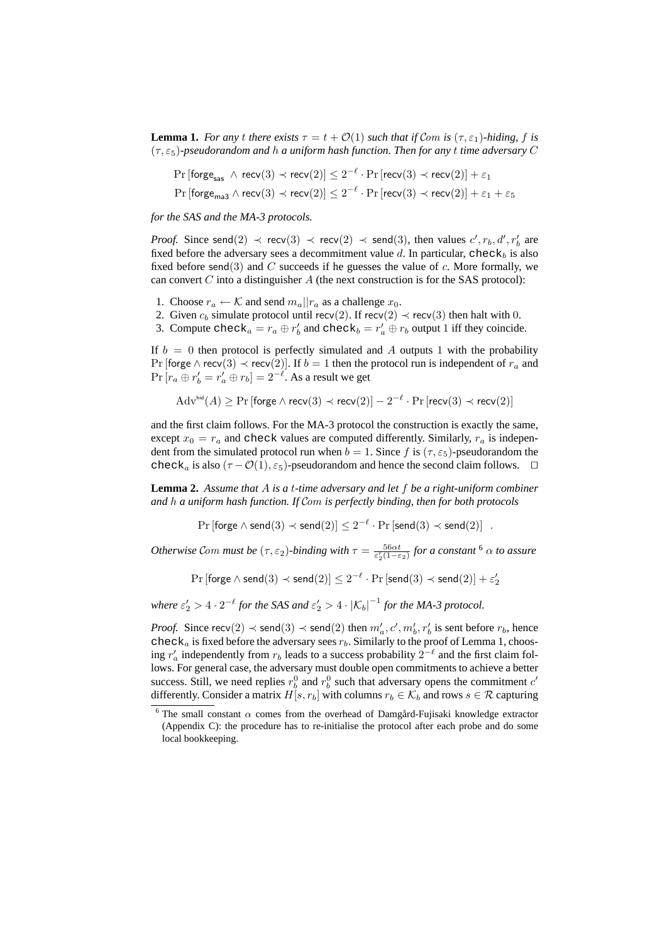**Lemma 1.** *For any t there exists*  $\tau = t + O(1)$  *such that if* Com *is*  $(\tau, \epsilon_1)$ *-hiding,* f *is* (τ, ε5)*-pseudorandom and* h *a uniform hash function. Then for any* t *time adversary* C

$$
\begin{aligned} & \Pr\left[\mathsf{forget}_{\mathsf{sas}}~\wedge~\mathsf{recv}(3) \prec \mathsf{recv}(2)\right] \leq 2^{-\ell} \cdot \Pr\left[\mathsf{recv}(3) \prec \mathsf{recv}(2)\right] + \varepsilon_1 \\ & \Pr\left[\mathsf{forget}_{\mathsf{ma3}}~\wedge~\mathsf{recv}(3) \prec \mathsf{recv}(2)\right] \leq 2^{-\ell} \cdot \Pr\left[\mathsf{recv}(3) \prec \mathsf{recv}(2)\right] + \varepsilon_1 + \varepsilon_5 \end{aligned}
$$

*for the SAS and the MA-3 protocols.*

*Proof.* Since send(2)  $\prec$  recv(3)  $\prec$  recv(2)  $\prec$  send(3), then values  $c', r_b, d', r'_b$  are fixed before the adversary sees a decommitment value d. In particular, check<sub>b</sub> is also fixed before send(3) and C succeeds if he guesses the value of c. More formally, we can convert  $C$  into a distinguisher  $A$  (the next construction is for the SAS protocol):

- 1. Choose  $r_a \leftarrow \mathcal{K}$  and send  $m_a || r_a$  as a challenge  $x_0$ .
- 2. Given  $c_b$  simulate protocol until recv(2). If recv(2)  $\prec$  recv(3) then halt with 0.
- 3. Compute check<sub>a</sub> =  $r_a \oplus r'_b$  and check<sub>b</sub> =  $r'_a \oplus r_b$  output 1 iff they coincide.

If  $b = 0$  then protocol is perfectly simulated and A outputs 1 with the probability Pr [forge  $\wedge$  recv(3)  $\prec$  recv(2)]. If  $b = 1$  then the protocol run is independent of  $r_a$  and  $\Pr[r_a \oplus r'_b = r'_a \oplus r_b] = 2^{-\ell}$ . As a result we get

$$
Adv^{\text{hid}}(A) \geq \Pr\left[\text{forget } \land \text{recv}(3) \prec \text{recv}(2)\right] - 2^{-\ell} \cdot \Pr\left[\text{recv}(3) \prec \text{recv}(2)\right]
$$

and the first claim follows. For the MA-3 protocol the construction is exactly the same, except  $x_0 = r_a$  and check values are computed differently. Similarly,  $r_a$  is independent from the simulated protocol run when  $b = 1$ . Since f is  $(\tau, \varepsilon_5)$ -pseudorandom the check<sub>a</sub> is also ( $\tau$  –  $\mathcal{O}(1), \varepsilon_5$ )-pseudorandom and hence the second claim follows.  $\Box$ 

**Lemma 2.** *Assume that* A *is a* t*-time adversary and let* f *be a right-uniform combiner and* h *a uniform hash function. If* Com *is perfectly binding, then for both protocols*

 $\Pr[\mathsf{forget} \land \mathsf{send}(3) \prec \mathsf{send}(2)] \leq 2^{-\ell} \cdot \Pr[\mathsf{send}(3) \prec \mathsf{send}(2)]$ .

*Otherwise* Com must be  $(\tau, \varepsilon_2)$ -binding with  $\tau = \frac{56\alpha t}{\varepsilon_2'(1-\varepsilon_2)}$  for a constant <sup>6</sup>  $\alpha$  to assure

 $\Pr \left[ \mathsf{forget} \wedge \mathsf{send}(3) \prec \mathsf{send}(2) \right] \leq 2^{-\ell} \cdot \Pr \left[ \mathsf{send}(3) \prec \mathsf{send}(2) \right] + \varepsilon_2^{\ell}$ 2

where  $\varepsilon'_2 > 4 \cdot 2^{-\ell}$  for the SAS and  $\varepsilon'_2 > 4 \cdot \left| {\cal K}_b \right|^{-1}$  for the MA-3 protocol.

*Proof.* Since  $\text{recv}(2) \prec \text{send}(3) \prec \text{send}(2)$  then  $m'_a, c', m'_b, r'_b$  is sent before  $r_b$ , hence check<sub>a</sub> is fixed before the adversary sees  $r_b$ . Similarly to the proof of Lemma 1, choosing  $r'_a$  independently from  $r_b$  leads to a success probability  $2^{-\ell}$  and the first claim follows. For general case, the adversary must double open commitments to achieve a better success. Still, we need replies  $r_b^0$  and  $r_b^0$  such that adversary opens the commitment c' differently. Consider a matrix  $H[s, r_b]$  with columns  $r_b \in \mathcal{K}_b$  and rows  $s \in \mathcal{R}$  capturing

<sup>&</sup>lt;sup>6</sup> The small constant  $\alpha$  comes from the overhead of Damgård-Fujisaki knowledge extractor (Appendix C): the procedure has to re-initialise the protocol after each probe and do some local bookkeeping.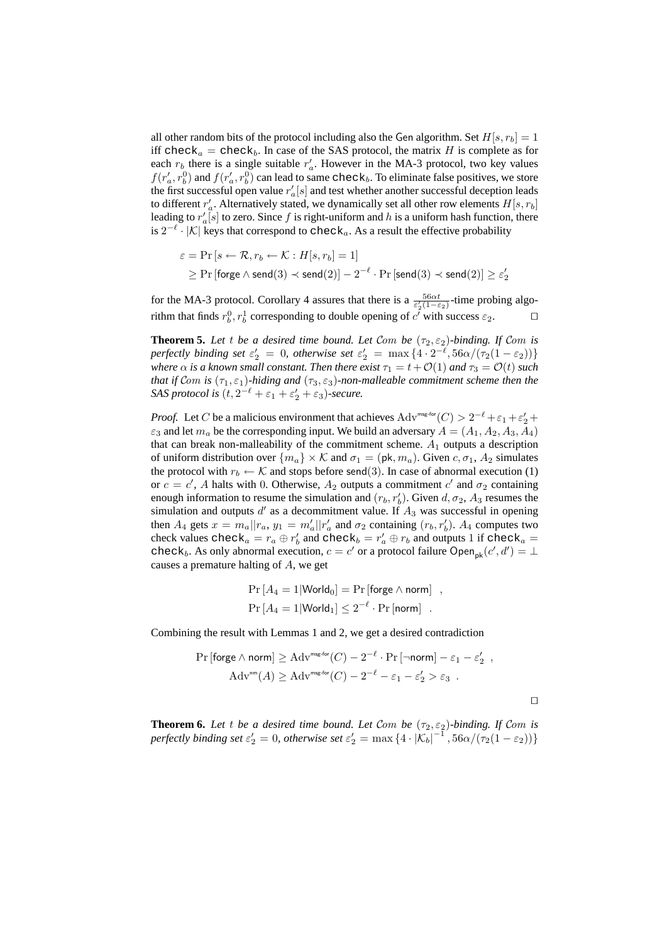all other random bits of the protocol including also the Gen algorithm. Set  $H[s, r_b] = 1$ iff check<sub>a</sub> = check<sub>b</sub>. In case of the SAS protocol, the matrix H is complete as for each  $r_b$  there is a single suitable  $r_a'$ . However in the MA-3 protocol, two key values  $f(r'_a, r_b^0)$  and  $f(r'_a, r_b^0)$  can lead to same check<sub>b</sub>. To eliminate false positives, we store the first successful open value  $r_a[s]$  and test whether another successful deception leads to different  $r'_a$ . Alternatively stated, we dynamically set all other row elements  $H[s, r_b]$ leading to  $r'_a[s]$  to zero. Since f is right-uniform and h is a uniform hash function, there is  $2^{-\ell}$ . |K| keys that correspond to check<sub>a</sub>. As a result the effective probability

$$
\varepsilon = \Pr\left[s \leftarrow \mathcal{R}, r_b \leftarrow \mathcal{K} : H[s, r_b] = 1\right] \\
\geq \Pr\left[\mathsf{forget} \land \mathsf{send}(3) \prec \mathsf{send}(2)\right] - 2^{-\ell} \cdot \Pr\left[\mathsf{send}(3) \prec \mathsf{send}(2)\right] \geq \varepsilon_2'
$$

for the MA-3 protocol. Corollary 4 assures that there is a  $\frac{56\alpha t}{\epsilon'_2(1-\epsilon_2)}$ -time probing algorithm that finds  $r_b^0, r_b^1$  corresponding to double opening of  $c^i$  with success  $\varepsilon_2$ .

**Theorem 5.** Let *t* be a desired time bound. Let Com be  $(\tau_2, \varepsilon_2)$ -binding. If Com is *perfectly binding set*  $\varepsilon'_2 = 0$ , *otherwise set*  $\varepsilon'_2 = \max\{4 \cdot 2^{-\ell}, 56\alpha/(\tau_2(1-\varepsilon_2))\}$ *where*  $\alpha$  *is a known small constant. Then there exist*  $\tau_1 = t + \mathcal{O}(1)$  *and*  $\tau_3 = \mathcal{O}(t)$  *such that if* Com *is*  $(\tau_1, \varepsilon_1)$ *-hiding and*  $(\tau_3, \varepsilon_3)$ *-non-malleable commitment scheme then the SAS protocol is*  $(t, 2^{-\ell} + \varepsilon_1 + \varepsilon_2' + \varepsilon_3)$ *-secure.* 

*Proof.* Let C be a malicious environment that achieves  $\text{Adv}^{\text{msg-for}}(C) > 2^{-\ell} + \varepsilon_1 + \varepsilon_2' +$  $\varepsilon_3$  and let  $m_a$  be the corresponding input. We build an adversary  $A = (A_1, A_2, A_3, A_4)$ that can break non-malleability of the commitment scheme.  $A_1$  outputs a description of uniform distribution over  $\{m_a\} \times \mathcal{K}$  and  $\sigma_1 = (\mathsf{pk}, m_a)$ . Given  $c, \sigma_1, A_2$  simulates the protocol with  $r_b \leftarrow \mathcal{K}$  and stops before send(3). In case of abnormal execution (1) or  $c = c'$ , A halts with 0. Otherwise,  $A_2$  outputs a commitment  $c'$  and  $\sigma_2$  containing enough information to resume the simulation and  $(r_b, r'_b)$ . Given  $d, \sigma_2$ ,  $A_3$  resumes the simulation and outputs  $d'$  as a decommitment value. If  $A_3$  was successful in opening then  $A_4$  gets  $x = m_a || r_a$ ,  $y_1 = m'_a || r'_a$  and  $\sigma_2$  containing  $(r_b, r'_b)$ .  $A_4$  computes two check values check<sub>a</sub> =  $r_a \oplus r'_b$  and check<sub>b</sub> =  $r'_a \oplus r_b$  and outputs 1 if check<sub>a</sub> = check<sub>b</sub>. As only abnormal execution,  $c = c'$  or a protocol failure Open<sub>pk</sub> $(c', d') = \perp$ causes a premature halting of A, we get

$$
Pr [A4 = 1 | World0] = Pr [forget \land norm]
$$
  
Pr [A<sub>4</sub> = 1 | World<sub>1</sub>]  $\leq 2^{-\ell} \cdot Pr$  [norm] .

Combining the result with Lemmas 1 and 2, we get a desired contradiction

$$
\Pr\left[\text{forget } \wedge \text{norm}\right] \geq \text{Adv}^{\text{msg-for}}(C) - 2^{-\ell} \cdot \Pr\left[\neg \text{norm}\right] - \varepsilon_1 - \varepsilon_2',
$$

$$
\text{Adv}^{\text{nm}}(A) \geq \text{Adv}^{\text{msg-for}}(C) - 2^{-\ell} - \varepsilon_1 - \varepsilon_2' > \varepsilon_3.
$$

 $\Box$ 

**Theorem 6.** Let t be a desired time bound. Let Com be  $(\tau_2, \varepsilon_2)$ -binding. If Com is *perfectly binding set*  $\varepsilon'_2 = 0$ , *otherwise set*  $\varepsilon'_2 = \max\{4 \cdot |K_b|^{-1}, 56\alpha/(\tau_2(1-\varepsilon_2))\}$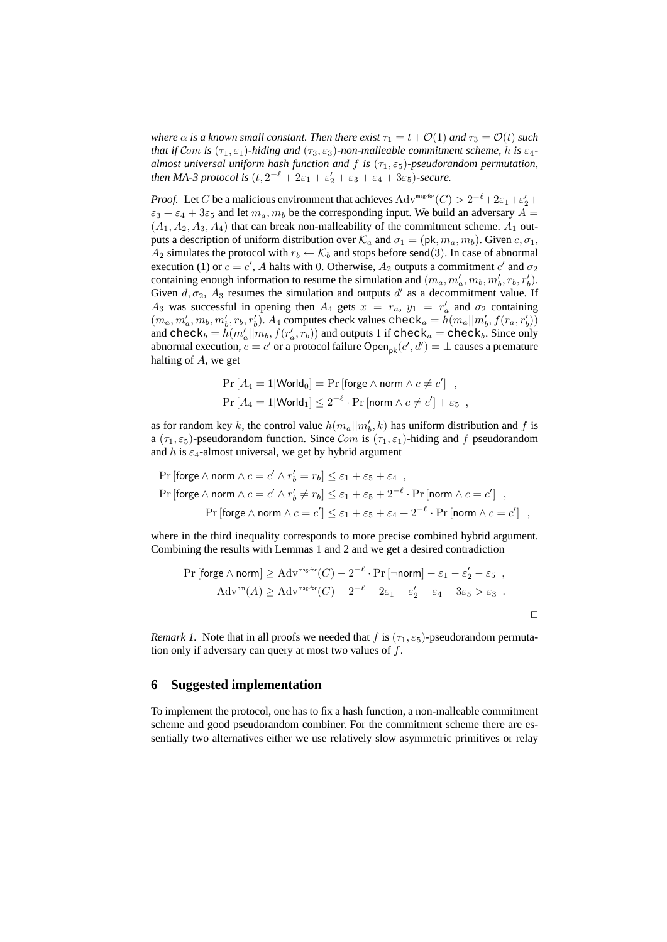*where*  $\alpha$  *is a known small constant. Then there exist*  $\tau_1 = t + O(1)$  *and*  $\tau_3 = O(t)$  *such that if* Com *is*  $(\tau_1, \varepsilon_1)$ *-hiding and*  $(\tau_3, \varepsilon_3)$ *-non-malleable commitment scheme, h is*  $\varepsilon_4$ *almost universal uniform hash function and*  $f$  *is*  $(\tau_1, \varepsilon_5)$ -pseudorandom permutation, *then MA-3 protocol is*  $(t, 2^{-\ell} + 2\varepsilon_1 + \varepsilon_2' + \varepsilon_3 + \varepsilon_4 + 3\varepsilon_5)$ *-secure.* 

*Proof.* Let C be a malicious environment that achieves  $\text{Adv}^{\text{msg-for}}(C) > 2^{-\ell} + 2\varepsilon_1 + \varepsilon_2' +$  $\varepsilon_3 + \varepsilon_4 + 3\varepsilon_5$  and let  $m_a, m_b$  be the corresponding input. We build an adversary  $A =$  $(A_1, A_2, A_3, A_4)$  that can break non-malleability of the commitment scheme.  $A_1$  outputs a description of uniform distribution over  $\mathcal{K}_a$  and  $\sigma_1 = (\mathsf{pk}, m_a, m_b)$ . Given  $c, \sigma_1$ ,  $A_2$  simulates the protocol with  $r_b \leftarrow \mathcal{K}_b$  and stops before send(3). In case of abnormal execution (1) or  $c = c'$ , A halts with 0. Otherwise,  $A_2$  outputs a commitment c' and  $\sigma_2$ containing enough information to resume the simulation and  $(m_a, m'_a, m_b, m'_b, r_b, r'_b)$ . Given  $d, \sigma_2$ ,  $A_3$  resumes the simulation and outputs  $d'$  as a decommitment value. If  $A_3$  was successful in opening then  $A_4$  gets  $x = r_a$ ,  $y_1 = r'_a$  and  $\sigma_2$  containing  $(m_a, m'_a, m_b, m'_b, r_b, r'_b)$ .  $A_4$  computes check values check<sub>a</sub> =  $h(m_a||m'_b, f(r_a, r'_b))$ and check<sub>b</sub> =  $h(m'_a||m_b, f(r'_a, r_b))$  and outputs 1 if check<sub>a</sub> = check<sub>b</sub>. Since only abnormal execution,  $c = c'$  or a protocol failure Open<sub>pk</sub> $(c', d') = \bot$  causes a premature halting of A, we get

$$
\Pr\left[A_4 = 1 | \text{World}_0\right] = \Pr\left[\text{forget } \land \text{ norm } \land c \neq c'\right] ,
$$
\n
$$
\Pr\left[A_4 = 1 | \text{World}_1\right] \leq 2^{-\ell} \cdot \Pr\left[\text{norm } \land c \neq c'\right] + \varepsilon_5 ,
$$

as for random key k, the control value  $h(m_a||m'_b, k)$  has uniform distribution and f is a ( $\tau_1, \varepsilon_5$ )-pseudorandom function. Since Com is ( $\tau_1, \varepsilon_1$ )-hiding and f pseudorandom and h is  $\varepsilon_4$ -almost universal, we get by hybrid argument

$$
\begin{aligned} \Pr\left[\text{forge }\wedge\text{ norm }\wedge\,c=c'\wedge r'_b=r_b\right] &\le\varepsilon_1+\varepsilon_5+\varepsilon_4~,\\ \Pr\left[\text{forge }\wedge\text{ norm }\wedge\,c=c'\wedge r'_b\neq r_b\right] &\le\varepsilon_1+\varepsilon_5+2^{-\ell}\cdot\Pr\left[\text{norm }\wedge\,c=c'\right]~,\\ \Pr\left[\text{forge }\wedge\text{ norm }\wedge\,c=c'\right] &\le\varepsilon_1+\varepsilon_5+\varepsilon_4+2^{-\ell}\cdot\Pr\left[\text{norm }\wedge\,c=c'\right]~, \end{aligned}
$$

where in the third inequality corresponds to more precise combined hybrid argument. Combining the results with Lemmas 1 and 2 and we get a desired contradiction

$$
\Pr\left[\text{forget } \wedge \text{ norm}\right] \geq \text{Adv}^{\text{msg-for}}(C) - 2^{-\ell} \cdot \Pr\left[\neg \text{norm}\right] - \varepsilon_1 - \varepsilon_2' - \varepsilon_5 ,
$$
  
Adv<sup>nm</sup>(A) \geq Adv^{msg-for}(C) - 2^{-\ell} - 2\varepsilon\_1 - \varepsilon\_2' - \varepsilon\_4 - 3\varepsilon\_5 > \varepsilon\_3 .

*Remark 1.* Note that in all proofs we needed that f is  $(\tau_1, \varepsilon_5)$ -pseudorandom permutation only if adversary can query at most two values of  $f$ .

### **6 Suggested implementation**

To implement the protocol, one has to fix a hash function, a non-malleable commitment scheme and good pseudorandom combiner. For the commitment scheme there are essentially two alternatives either we use relatively slow asymmetric primitives or relay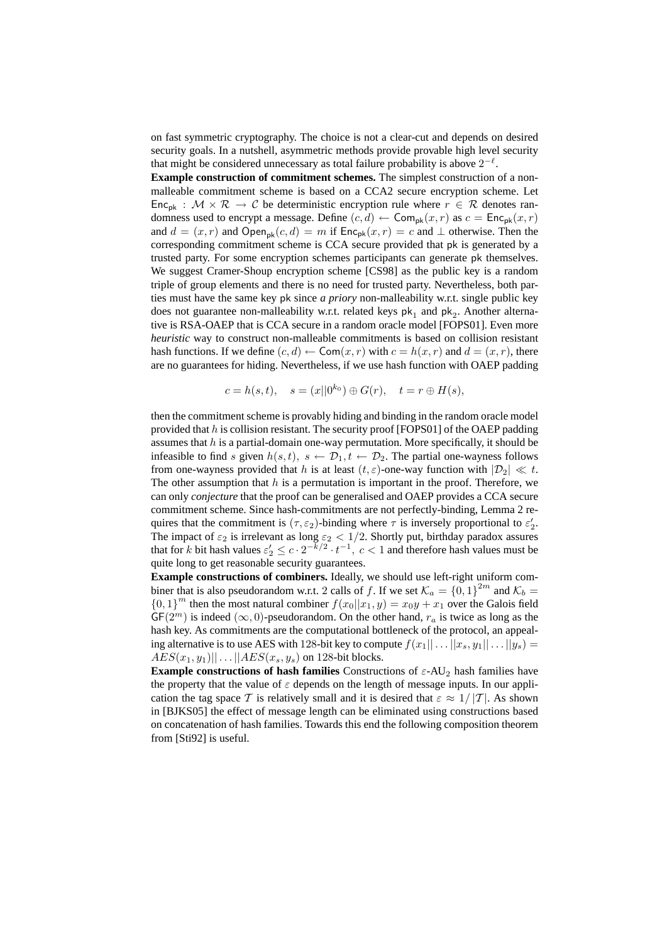on fast symmetric cryptography. The choice is not a clear-cut and depends on desired security goals. In a nutshell, asymmetric methods provide provable high level security that might be considered unnecessary as total failure probability is above  $2^{-\ell}$ .

**Example construction of commitment schemes.** The simplest construction of a nonmalleable commitment scheme is based on a CCA2 secure encryption scheme. Let Enc<sub>pk</sub> :  $M \times \mathcal{R} \rightarrow \mathcal{C}$  be deterministic encryption rule where  $r \in \mathcal{R}$  denotes randomness used to encrypt a message. Define  $(c, d) \leftarrow \textsf{Com}_{\textsf{pk}}(x, r)$  as  $c = \textsf{Enc}_{\textsf{pk}}(x, r)$ and  $d = (x, r)$  and Open<sub>pk</sub> $(c, d) = m$  if  $Enc_{pk}(x, r) = c$  and  $\perp$  otherwise. Then the corresponding commitment scheme is CCA secure provided that pk is generated by a trusted party. For some encryption schemes participants can generate pk themselves. We suggest Cramer-Shoup encryption scheme [CS98] as the public key is a random triple of group elements and there is no need for trusted party. Nevertheless, both parties must have the same key pk since *a priory* non-malleability w.r.t. single public key does not guarantee non-malleability w.r.t. related keys  $pk<sub>1</sub>$  and  $pk<sub>2</sub>$ . Another alternative is RSA-OAEP that is CCA secure in a random oracle model [FOPS01]. Even more *heuristic* way to construct non-malleable commitments is based on collision resistant hash functions. If we define  $(c, d) \leftarrow \text{Com}(x, r)$  with  $c = h(x, r)$  and  $d = (x, r)$ , there are no guarantees for hiding. Nevertheless, if we use hash function with OAEP padding

$$
c = h(s, t),
$$
  $s = (x||0^{k_0}) \oplus G(r),$   $t = r \oplus H(s),$ 

then the commitment scheme is provably hiding and binding in the random oracle model provided that  $h$  is collision resistant. The security proof [FOPS01] of the OAEP padding assumes that  $h$  is a partial-domain one-way permutation. More specifically, it should be infeasible to find s given  $h(s, t)$ ,  $s \leftarrow \mathcal{D}_1, t \leftarrow \mathcal{D}_2$ . The partial one-wayness follows from one-wayness provided that h is at least  $(t, \varepsilon)$ -one-way function with  $|\mathcal{D}_2| \ll t$ . The other assumption that  $h$  is a permutation is important in the proof. Therefore, we can only *conjecture* that the proof can be generalised and OAEP provides a CCA secure commitment scheme. Since hash-commitments are not perfectly-binding, Lemma 2 requires that the commitment is  $(\tau, \varepsilon_2)$ -binding where  $\tau$  is inversely proportional to  $\varepsilon_2'$ . The impact of  $\varepsilon_2$  is irrelevant as long  $\varepsilon_2 < 1/2$ . Shortly put, birthday paradox assures that for k bit hash values  $\varepsilon_2' \leq c \cdot 2^{-k/2} \cdot t^{-1}$ ,  $c < 1$  and therefore hash values must be quite long to get reasonable security guarantees.

**Example constructions of combiners.** Ideally, we should use left-right uniform combiner that is also pseudorandom w.r.t. 2 calls of f. If we set  $\mathcal{K}_a = \{0, 1\}^{2m}$  and  $\mathcal{K}_b =$  ${0,1}^m$  then the most natural combiner  $f(x_0||x_1, y) = x_0y + x_1$  over the Galois field  $GF(2^m)$  is indeed  $(\infty, 0)$ -pseudorandom. On the other hand,  $r_a$  is twice as long as the hash key. As commitments are the computational bottleneck of the protocol, an appealing alternative is to use AES with 128-bit key to compute  $f(x_1|| \dots ||x_s, y_1|| \dots ||y_s) =$  $AES(x_1, y_1)|| \dots ||AES(x_s, y_s)$  on 128-bit blocks.

**Example constructions of hash families** Constructions of  $\varepsilon$ -AU<sub>2</sub> hash families have the property that the value of  $\varepsilon$  depends on the length of message inputs. In our application the tag space T is relatively small and it is desired that  $\varepsilon \approx 1/|T|$ . As shown in [BJKS05] the effect of message length can be eliminated using constructions based on concatenation of hash families. Towards this end the following composition theorem from [Sti92] is useful.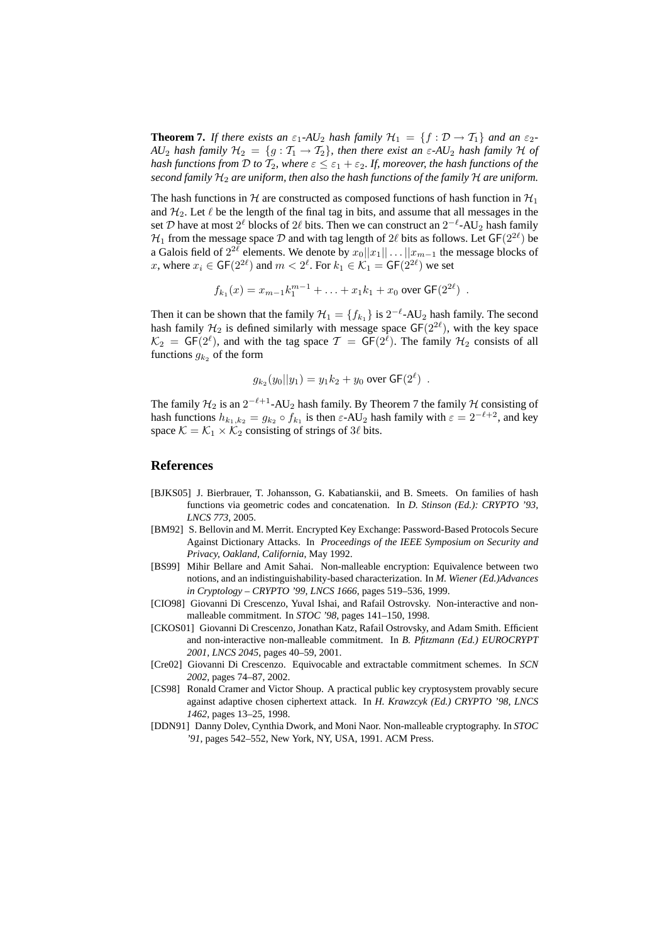**Theorem 7.** *If there exists an*  $\varepsilon_1$ -AU<sub>2</sub> *hash family*  $\mathcal{H}_1 = \{f : \mathcal{D} \to \mathcal{T}_1\}$  *and an*  $\varepsilon_2$ -*AU*<sub>2</sub> *hash family*  $H_2 = \{g : T_1 \rightarrow T_2\}$ , *then there exist an*  $\varepsilon$ -*AU*<sub>2</sub> *hash family* H *of hash functions from*  $D$  *to*  $\mathcal{T}_2$ *, where*  $\varepsilon \leq \varepsilon_1 + \varepsilon_2$ *. If, moreover, the hash functions of the second family* H<sup>2</sup> *are uniform, then also the hash functions of the family* H *are uniform.*

The hash functions in H are constructed as composed functions of hash function in  $\mathcal{H}_1$ and  $\mathcal{H}_2$ . Let  $\ell$  be the length of the final tag in bits, and assume that all messages in the set D have at most  $2^{\ell}$  blocks of  $2\ell$  bits. Then we can construct an  $2^{-\ell}$ -AU<sub>2</sub> hash family  $\mathcal{H}_1$  from the message space  $\mathcal D$  and with tag length of  $2\ell$  bits as follows. Let  $\mathsf{GF}(2^{2\ell})$  be a Galois field of  $2^{2\ell}$  elements. We denote by  $x_0||x_1|| \dots ||x_{m-1}$  the message blocks of x, where  $x_i \in \mathsf{GF}(2^{2\ell})$  and  $m < 2^{\ell}$ . For  $k_1 \in \mathcal{K}_1 = \mathsf{GF}(2^{2\ell})$  we set

$$
f_{k_1}(x) = x_{m-1}k_1^{m-1} + \ldots + x_1k_1 + x_0 \text{ over } \mathsf{GF}(2^{2\ell}) .
$$

Then it can be shown that the family  $\mathcal{H}_1 = \{f_{k_1}\}\$ is  $2^{-\ell}$ -AU<sub>2</sub> hash family. The second hash family  $H_2$  is defined similarly with message space  $GF(2^{2\ell})$ , with the key space  $\mathcal{K}_2 = \mathsf{GF}(2^{\ell})$ , and with the tag space  $\mathcal{T} = \mathsf{GF}(2^{\overline{\ell}})$ . The family  $\mathcal{H}_2$  consists of all functions  $g_{k_2}$  of the form

$$
g_{k_2}(y_0||y_1) = y_1k_2 + y_0 \text{ over } GF(2^{\ell}) .
$$

The family  $\mathcal{H}_2$  is an  $2^{-\ell+1}$ -AU<sub>2</sub> hash family. By Theorem 7 the family  $\mathcal H$  consisting of hash functions  $h_{k_1,k_2} = g_{k_2} \circ \bar{f}_{k_1}$  is then  $\varepsilon$ -AU<sub>2</sub> hash family with  $\varepsilon = 2^{-\ell+2}$ , and key space  $\mathcal{K} = \mathcal{K}_1 \times \mathcal{K}_2$  consisting of strings of 3 $\ell$  bits.

### **References**

- [BJKS05] J. Bierbrauer, T. Johansson, G. Kabatianskii, and B. Smeets. On families of hash functions via geometric codes and concatenation. In *D. Stinson (Ed.): CRYPTO '93, LNCS 773*, 2005.
- [BM92] S. Bellovin and M. Merrit. Encrypted Key Exchange: Password-Based Protocols Secure Against Dictionary Attacks. In *Proceedings of the IEEE Symposium on Security and Privacy, Oakland, California*, May 1992.
- [BS99] Mihir Bellare and Amit Sahai. Non-malleable encryption: Equivalence between two notions, and an indistinguishability-based characterization. In *M. Wiener (Ed.)Advances in Cryptology – CRYPTO '99, LNCS 1666*, pages 519–536, 1999.
- [CIO98] Giovanni Di Crescenzo, Yuval Ishai, and Rafail Ostrovsky. Non-interactive and nonmalleable commitment. In *STOC '98*, pages 141–150, 1998.
- [CKOS01] Giovanni Di Crescenzo, Jonathan Katz, Rafail Ostrovsky, and Adam Smith. Efficient and non-interactive non-malleable commitment. In *B. Pfitzmann (Ed.) EUROCRYPT 2001, LNCS 2045*, pages 40–59, 2001.
- [Cre02] Giovanni Di Crescenzo. Equivocable and extractable commitment schemes. In *SCN 2002*, pages 74–87, 2002.
- [CS98] Ronald Cramer and Victor Shoup. A practical public key cryptosystem provably secure against adaptive chosen ciphertext attack. In *H. Krawzcyk (Ed.) CRYPTO '98, LNCS 1462*, pages 13–25, 1998.
- [DDN91] Danny Dolev, Cynthia Dwork, and Moni Naor. Non-malleable cryptography. In *STOC '91*, pages 542–552, New York, NY, USA, 1991. ACM Press.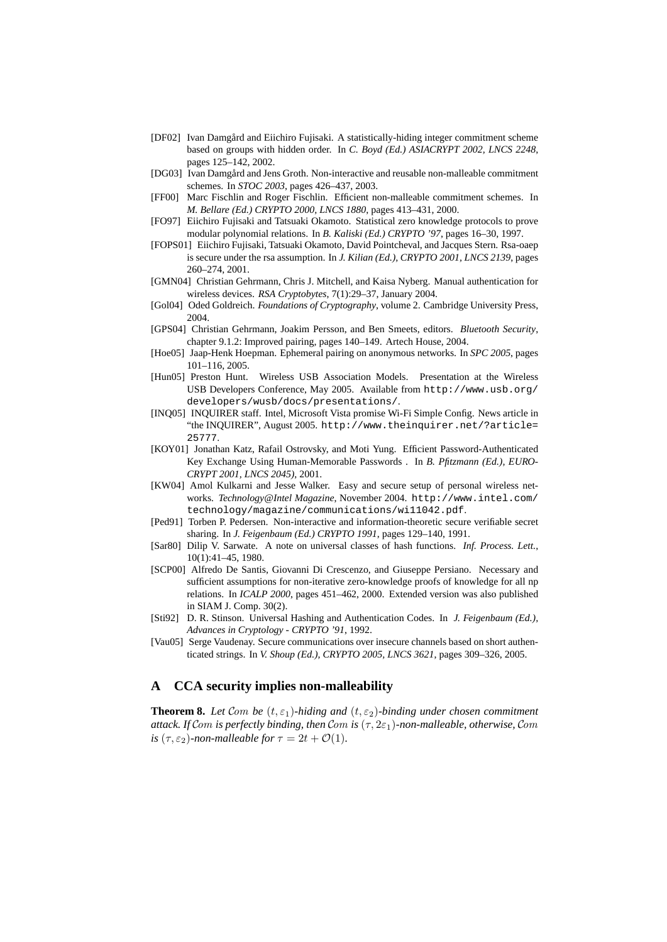- [DF02] Ivan Damgård and Eiichiro Fujisaki. A statistically-hiding integer commitment scheme based on groups with hidden order. In *C. Boyd (Ed.) ASIACRYPT 2002, LNCS 2248*, pages 125–142, 2002.
- [DG03] Ivan Damgård and Jens Groth. Non-interactive and reusable non-malleable commitment schemes. In *STOC 2003*, pages 426–437, 2003.
- [FF00] Marc Fischlin and Roger Fischlin. Efficient non-malleable commitment schemes. In *M. Bellare (Ed.) CRYPTO 2000, LNCS 1880*, pages 413–431, 2000.
- [FO97] Eiichiro Fujisaki and Tatsuaki Okamoto. Statistical zero knowledge protocols to prove modular polynomial relations. In *B. Kaliski (Ed.) CRYPTO '97*, pages 16–30, 1997.
- [FOPS01] Eiichiro Fujisaki, Tatsuaki Okamoto, David Pointcheval, and Jacques Stern. Rsa-oaep is secure under the rsa assumption. In *J. Kilian (Ed.), CRYPTO 2001, LNCS 2139*, pages 260–274, 2001.
- [GMN04] Christian Gehrmann, Chris J. Mitchell, and Kaisa Nyberg. Manual authentication for wireless devices. *RSA Cryptobytes*, 7(1):29–37, January 2004.
- [Gol04] Oded Goldreich. *Foundations of Cryptography*, volume 2. Cambridge University Press, 2004.
- [GPS04] Christian Gehrmann, Joakim Persson, and Ben Smeets, editors. *Bluetooth Security*, chapter 9.1.2: Improved pairing, pages 140–149. Artech House, 2004.
- [Hoe05] Jaap-Henk Hoepman. Ephemeral pairing on anonymous networks. In *SPC 2005*, pages 101–116, 2005.
- [Hun05] Preston Hunt. Wireless USB Association Models. Presentation at the Wireless USB Developers Conference, May 2005. Available from http://www.usb.org/ developers/wusb/docs/presentations/.
- [INQ05] INQUIRER staff. Intel, Microsoft Vista promise Wi-Fi Simple Config. News article in "the INQUIRER", August 2005. http://www.theinquirer.net/?article= 25777.
- [KOY01] Jonathan Katz, Rafail Ostrovsky, and Moti Yung. Efficient Password-Authenticated Key Exchange Using Human-Memorable Passwords . In *B. Pfitzmann (Ed.), EURO-CRYPT 2001, LNCS 2045)*, 2001.
- [KW04] Amol Kulkarni and Jesse Walker. Easy and secure setup of personal wireless networks. *Technology@Intel Magazine*, November 2004. http://www.intel.com/ technology/magazine/communications/wi11042.pdf.
- [Ped91] Torben P. Pedersen. Non-interactive and information-theoretic secure verifiable secret sharing. In *J. Feigenbaum (Ed.) CRYPTO 1991*, pages 129–140, 1991.
- [Sar80] Dilip V. Sarwate. A note on universal classes of hash functions. *Inf. Process. Lett.*, 10(1):41–45, 1980.
- [SCP00] Alfredo De Santis, Giovanni Di Crescenzo, and Giuseppe Persiano. Necessary and sufficient assumptions for non-iterative zero-knowledge proofs of knowledge for all np relations. In *ICALP 2000*, pages 451–462, 2000. Extended version was also published in SIAM J. Comp. 30(2).
- [Sti92] D. R. Stinson. Universal Hashing and Authentication Codes. In *J. Feigenbaum (Ed.), Advances in Cryptology - CRYPTO '91*, 1992.
- [Vau05] Serge Vaudenay. Secure communications over insecure channels based on short authenticated strings. In *V. Shoup (Ed.), CRYPTO 2005, LNCS 3621*, pages 309–326, 2005.

## **A CCA security implies non-malleability**

**Theorem 8.** Let Com be  $(t, \varepsilon_1)$ -hiding and  $(t, \varepsilon_2)$ -binding under chosen commitment *attack. If* Com *is perfectly binding, then* Com *is*  $(\tau, 2\varepsilon_1)$ -non-malleable, otherwise, Com *is* ( $\tau$ ,  $\varepsilon$ <sub>2</sub>)-non-malleable for  $\tau = 2t + \mathcal{O}(1)$ .